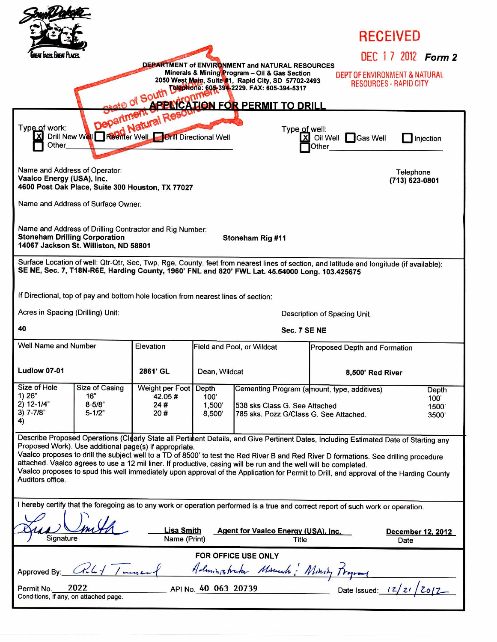|                                                                                                                                                                                                                                                                          |                   |                                                                                    |               |                                                                                                                  | RECEIVED                                                                                                                                                                                                                                                                                                                                                                                                                 |                   |
|--------------------------------------------------------------------------------------------------------------------------------------------------------------------------------------------------------------------------------------------------------------------------|-------------------|------------------------------------------------------------------------------------|---------------|------------------------------------------------------------------------------------------------------------------|--------------------------------------------------------------------------------------------------------------------------------------------------------------------------------------------------------------------------------------------------------------------------------------------------------------------------------------------------------------------------------------------------------------------------|-------------------|
| at hors lineat Place                                                                                                                                                                                                                                                     |                   |                                                                                    |               |                                                                                                                  | DEC 17 2012 Form 2                                                                                                                                                                                                                                                                                                                                                                                                       |                   |
| DEPARTMENT of ENVIRONMENT and NATURAL RESOURCES<br>Minerals & Mining Program - Oil & Gas Section<br>DEPT OF ENVIRONMENT & NATURAL<br>2050 West Main, Suite #1, Rapid City, SD 57702-2493<br><b>RESOURCES - RAPID CITY</b><br>Telephione: 605-394-2229. FAX: 605-394-5317 |                   |                                                                                    |               |                                                                                                                  |                                                                                                                                                                                                                                                                                                                                                                                                                          |                   |
| of South<br>APPLICATION FOR PERMIT TO DRILL                                                                                                                                                                                                                              |                   |                                                                                    |               |                                                                                                                  |                                                                                                                                                                                                                                                                                                                                                                                                                          |                   |
| Department<br>Dill New Wales Department of Read<br>Type of work:<br>Type of well:<br><b>Drill Directional Well</b><br>X Oil Well<br><b>Sas Well</b><br>Injection<br>Other                                                                                                |                   |                                                                                    |               |                                                                                                                  |                                                                                                                                                                                                                                                                                                                                                                                                                          |                   |
| Name and Address of Operator:<br>Vaalco Energy (USA), Inc.<br>4600 Post Oak Place, Suite 300 Houston, TX 77027                                                                                                                                                           |                   |                                                                                    |               |                                                                                                                  | Telephone<br>(713) 623-0801                                                                                                                                                                                                                                                                                                                                                                                              |                   |
| Name and Address of Surface Owner:                                                                                                                                                                                                                                       |                   |                                                                                    |               |                                                                                                                  |                                                                                                                                                                                                                                                                                                                                                                                                                          |                   |
| Name and Address of Drilling Contractor and Rig Number:<br><b>Stoneham Drilling Corporation</b><br>Stoneham Rig #11<br>14067 Jackson St. Williston, ND 58801                                                                                                             |                   |                                                                                    |               |                                                                                                                  |                                                                                                                                                                                                                                                                                                                                                                                                                          |                   |
| Surface Location of well: Qtr-Qtr, Sec, Twp, Rge, County, feet from nearest lines of section, and latitude and longitude (if available):<br>SE NE, Sec. 7, T18N-R6E, Harding County, 1960' FNL and 820' FWL Lat. 45.54000 Long. 103.425675                               |                   |                                                                                    |               |                                                                                                                  |                                                                                                                                                                                                                                                                                                                                                                                                                          |                   |
|                                                                                                                                                                                                                                                                          |                   | If Directional, top of pay and bottom hole location from nearest lines of section: |               |                                                                                                                  |                                                                                                                                                                                                                                                                                                                                                                                                                          |                   |
| Acres in Spacing (Drilling) Unit:<br>Description of Spacing Unit                                                                                                                                                                                                         |                   |                                                                                    |               |                                                                                                                  |                                                                                                                                                                                                                                                                                                                                                                                                                          |                   |
|                                                                                                                                                                                                                                                                          |                   |                                                                                    |               |                                                                                                                  |                                                                                                                                                                                                                                                                                                                                                                                                                          |                   |
| 40                                                                                                                                                                                                                                                                       |                   |                                                                                    |               | Sec. 7 SE NE                                                                                                     |                                                                                                                                                                                                                                                                                                                                                                                                                          |                   |
| Well Name and Number                                                                                                                                                                                                                                                     |                   | Elevation                                                                          |               | Field and Pool, or Wildcat                                                                                       | Proposed Depth and Formation                                                                                                                                                                                                                                                                                                                                                                                             |                   |
| <b>Ludlow 07-01</b>                                                                                                                                                                                                                                                      |                   | 2861' GL                                                                           | Dean, Wildcat |                                                                                                                  | 8,500' Red River                                                                                                                                                                                                                                                                                                                                                                                                         |                   |
| Size of Hole                                                                                                                                                                                                                                                             | Size of Casing    | Weight per Foot                                                                    | Depth         | Cementing Program (amount, type, additives)                                                                      |                                                                                                                                                                                                                                                                                                                                                                                                                          | Depth             |
| 1) 26"<br>$2) 12 - 1/4"$                                                                                                                                                                                                                                                 | 16"<br>$8 - 5/8"$ | 42.05#<br>24#                                                                      | 100'<br>1,500 | 538 sks Class G. See Attached                                                                                    |                                                                                                                                                                                                                                                                                                                                                                                                                          | 100'<br>1500      |
| $3)$ 7-7/8"<br>4)                                                                                                                                                                                                                                                        | $5 - 1/2"$        | 20#                                                                                | 8,500         | 785 sks, Pozz G/Class G. See Attached.                                                                           |                                                                                                                                                                                                                                                                                                                                                                                                                          | 3500              |
| Auditors office.                                                                                                                                                                                                                                                         |                   | Proposed Work). Use additional page(s) if appropriate.                             |               | attached. Vaalco agrees to use a 12 mil liner. If productive, casing will be run and the well will be completed. | Describe Proposed Operations (Clearly State all Pertinent Details, and Give Pertinent Dates, Including Estimated Date of Starting any<br>Vaalco proposes to drill the subject well to a TD of 8500' to test the Red River B and Red River D formations. See drilling procedure<br>Vaalco proposes to spud this well immediately upon approval of the Application for Permit to Drill, and approval of the Harding County |                   |
|                                                                                                                                                                                                                                                                          |                   |                                                                                    |               |                                                                                                                  | I hereby certify that the foregoing as to any work or operation performed is a true and correct report of such work or operation.                                                                                                                                                                                                                                                                                        |                   |
| Signature                                                                                                                                                                                                                                                                |                   | <b>Lisa Smith</b><br>Name (Print)                                                  |               | Agent for Vaalco Energy (USA), Inc.<br><b>Title</b>                                                              | Date                                                                                                                                                                                                                                                                                                                                                                                                                     | December 12, 2012 |
|                                                                                                                                                                                                                                                                          |                   |                                                                                    |               | FOR OFFICE USE ONLY                                                                                              |                                                                                                                                                                                                                                                                                                                                                                                                                          |                   |
| Approved By:                                                                                                                                                                                                                                                             | C1.4              |                                                                                    |               | Administrator Mounts: Ministy Program                                                                            |                                                                                                                                                                                                                                                                                                                                                                                                                          |                   |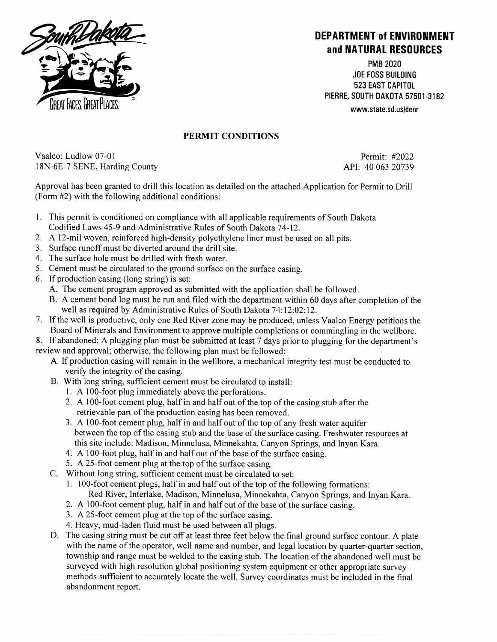

## **DEPARTMENT of ENVIRONMENT and NATURAL RESOURCES**

PMB 2020 JOE FOSS BUILDING 523 EAST CAPITOL PIERRE, SOUTH DAKOTA 57501-3182 www.state.sd.us/denr

## PERMIT CONDITIONS

Vaalco: Ludlow 07-01 Permit: #2022 18N-6E-7 SENE, Harding County API: 40 063 20739

Approval has been granted to drill this location as detailed on the attached Application for Permit to Drill (Form #2) with the following additional conditions:

- 1. This permit is conditioned on compliance with all applicable requirements of South Dakota Codified Laws 45-9 and Administrative Rules of South Dakota 74-12.
- 2. A 12-mil woven, reinforced high-density polyethylene liner must be used on all pits.
- 3. Surface runoff must be diverted around the drill site.
- 4. The surface hole must be drilled with fresh water.
- 5. Cement must be circulated to the ground surface on the surface casing.
- 6. If production casing (long string) is set:
	- A. The cement program approved as submitted with the application shall be followed.
	- B. A cement bond log must be run and filed with the department within 60 days after completion of the well as required by Administrative Rules of South Dakota 74:12:02:12.
- 7. If the well is productive, only one Red River zone may be produced, unless Vaalco Energy petitions the Board of Minerals and Environment to approve multiple completions or commingling in the wellbore.
- 8. If abandoned: A plugging plan must be submitted at least 7 days prior to plugging for the department's review and approval; otherwise, the following plan must be followed:
	- A. If production casing will remain in the wellbore, a mechanical integrity test must be conducted to verify the integrity of the casing.
	- B. With long string, sufficient cement must be circulated to install:
		- 1. A 100-foot plug immediately above the perforations.
		- 2. A 100-foot cement plug, half in and half out of the top of the casing stub after the retrievable part of the production casing has been removed.
		- 3. A 100-foot cement plug, half in and half out of the top of any fresh water aquifer between the top of the casing stub and the base of the surface casing. Freshwater resources at this site include: Madison, Minnelusa, Minnekahta, Canyon Springs, and Inyan Kara.
		- 4. A 100-foot plug, half in and half out of the base of the surface casing.
		- 5. A 25-foot cement plug at the top of the surface casing.
	- C. Without long string, sufficient cement must be circulated to set:
		- 1. 100-foot cement plugs, half in and half out of the top of the following formations: Red River, Interlake, Madison, Minnelusa, Minnekahta, Canyon Springs, and Inyan Kara.
		- 2. A 100-foot cement plug, half in and half out of the base of the surface casing.
		- 3. A 25-foot cement plug at the top of the surface casing.
		- 4. Heavy, mud-laden fluid must be used between all plugs.
	- D. The casing string must be cut off at least three feet below the fmal ground surface contour. A plate with the name of the operator, well name and number, and legal location by quarter-quarter section, township and range must be welded to the casing stub. The location of the abandoned well must be surveyed with high resolution global positioning system equipment or other appropriate survey methods sufficient to accurately locate the well. Survey coordinates must be included in the final abandonment report.